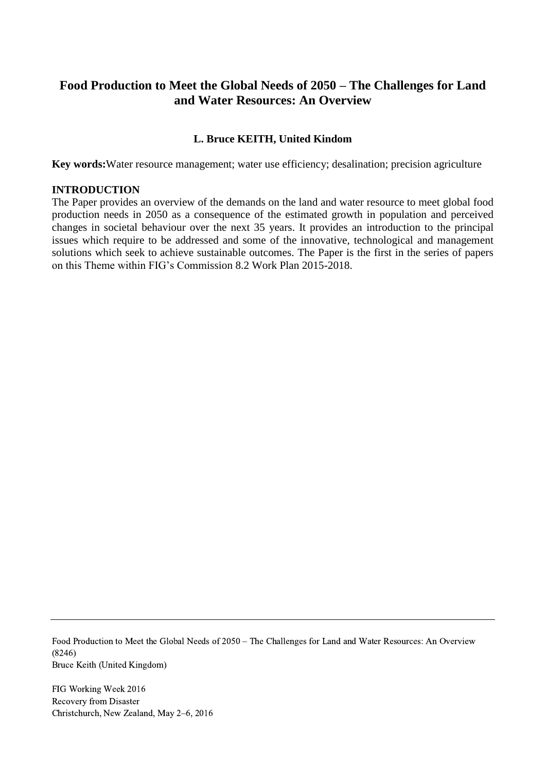# **Food Production to Meet the Global Needs of 2050 – The Challenges for Land and Water Resources: An Overview**

# **L. Bruce KEITH, United Kindom**

**Key words:**Water resource management; water use efficiency; desalination; precision agriculture

#### **INTRODUCTION**

The Paper provides an overview of the demands on the land and water resource to meet global food production needs in 2050 as a consequence of the estimated growth in population and perceived changes in societal behaviour over the next 35 years. It provides an introduction to the principal issues which require to be addressed and some of the innovative, technological and management solutions which seek to achieve sustainable outcomes. The Paper is the first in the series of papers on this Theme within FIG's Commission 8.2 Work Plan 2015-2018.

Food Production to Meet the Global Needs of 2050 – The Challenges for Land and Water Resources: An Overview (8246) Bruce Keith (United Kingdom)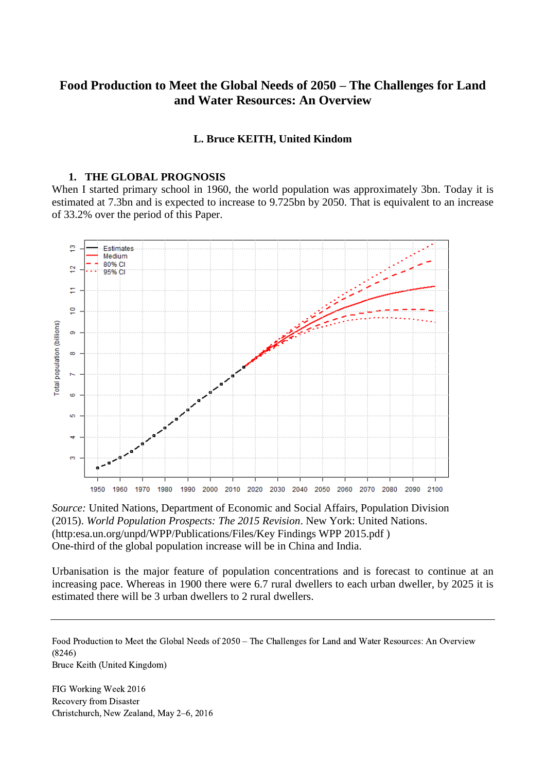# **Food Production to Meet the Global Needs of 2050 – The Challenges for Land and Water Resources: An Overview**

#### **L. Bruce KEITH, United Kindom**

# **1. THE GLOBAL PROGNOSIS**

When I started primary school in 1960, the world population was approximately 3bn. Today it is estimated at 7.3bn and is expected to increase to 9.725bn by 2050. That is equivalent to an increase of 33.2% over the period of this Paper.



*Source:* United Nations, Department of Economic and Social Affairs, Population Division (2015). *World Population Prospects: The 2015 Revision*. New York: United Nations. (http:esa.un.org/unpd/WPP/Publications/Files/Key Findings WPP 2015.pdf ) One-third of the global population increase will be in China and India.

Urbanisation is the major feature of population concentrations and is forecast to continue at an increasing pace. Whereas in 1900 there were 6.7 rural dwellers to each urban dweller, by 2025 it is estimated there will be 3 urban dwellers to 2 rural dwellers.

Food Production to Meet the Global Needs of 2050 – The Challenges for Land and Water Resources: An Overview (8246) Bruce Keith (United Kingdom)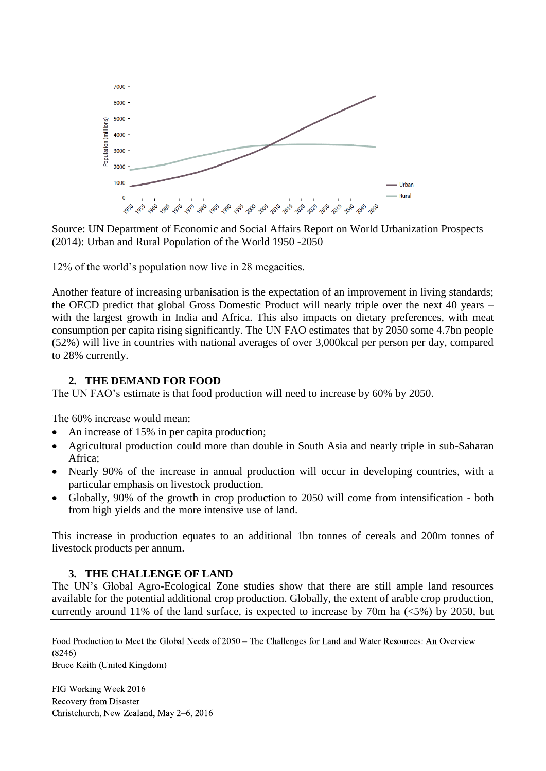

Source: UN Department of Economic and Social Affairs Report on World Urbanization Prospects (2014): Urban and Rural Population of the World 1950 -2050

12% of the world's population now live in 28 megacities.

Another feature of increasing urbanisation is the expectation of an improvement in living standards; the OECD predict that global Gross Domestic Product will nearly triple over the next 40 years – with the largest growth in India and Africa. This also impacts on dietary preferences, with meat consumption per capita rising significantly. The UN FAO estimates that by 2050 some 4.7bn people (52%) will live in countries with national averages of over 3,000kcal per person per day, compared to 28% currently.

#### **2. THE DEMAND FOR FOOD**

The UN FAO's estimate is that food production will need to increase by 60% by 2050.

The 60% increase would mean:

- An increase of 15% in per capita production;
- Agricultural production could more than double in South Asia and nearly triple in sub-Saharan Africa;
- Nearly 90% of the increase in annual production will occur in developing countries, with a particular emphasis on livestock production.
- Globally, 90% of the growth in crop production to 2050 will come from intensification both from high yields and the more intensive use of land.

This increase in production equates to an additional 1bn tonnes of cereals and 200m tonnes of livestock products per annum.

#### **3. THE CHALLENGE OF LAND**

The UN's Global Agro-Ecological Zone studies show that there are still ample land resources available for the potential additional crop production. Globally, the extent of arable crop production, currently around 11% of the land surface, is expected to increase by 70m ha  $(<5\%)$  by 2050, but

Food Production to Meet the Global Needs of 2050 – The Challenges for Land and Water Resources: An Overview (8246)

Bruce Keith (United Kingdom)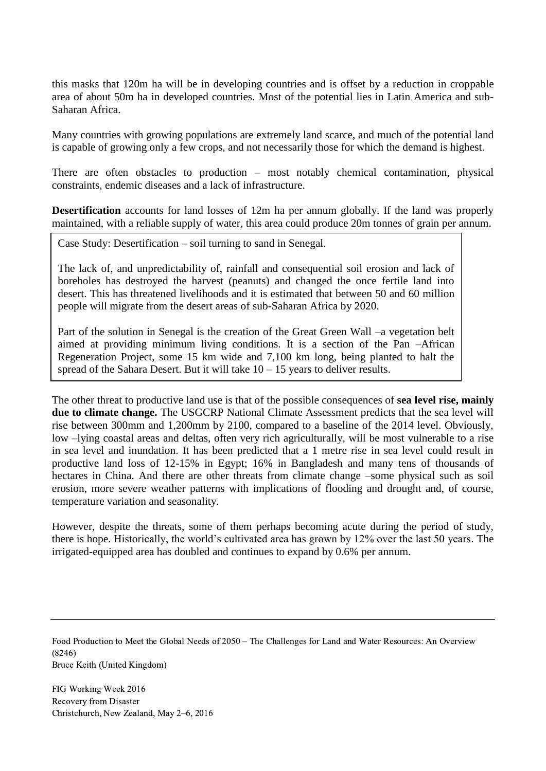this masks that 120m ha will be in developing countries and is offset by a reduction in croppable area of about 50m ha in developed countries. Most of the potential lies in Latin America and sub-Saharan Africa.

Many countries with growing populations are extremely land scarce, and much of the potential land is capable of growing only a few crops, and not necessarily those for which the demand is highest.

There are often obstacles to production – most notably chemical contamination, physical constraints, endemic diseases and a lack of infrastructure.

**Desertification** accounts for land losses of 12m ha per annum globally. If the land was properly maintained, with a reliable supply of water, this area could produce 20m tonnes of grain per annum.

Case Study: Desertification – soil turning to sand in Senegal.

The lack of, and unpredictability of, rainfall and consequential soil erosion and lack of boreholes has destroyed the harvest (peanuts) and changed the once fertile land into desert. This has threatened livelihoods and it is estimated that between 50 and 60 million people will migrate from the desert areas of sub-Saharan Africa by 2020.

Part of the solution in Senegal is the creation of the Great Green Wall –a vegetation belt aimed at providing minimum living conditions. It is a section of the Pan –African Regeneration Project, some 15 km wide and 7,100 km long, being planted to halt the spread of the Sahara Desert. But it will take  $10 - 15$  years to deliver results.

The other threat to productive land use is that of the possible consequences of **sea level rise, mainly due to climate change.** The USGCRP National Climate Assessment predicts that the sea level will rise between 300mm and 1,200mm by 2100, compared to a baseline of the 2014 level. Obviously, low –lying coastal areas and deltas, often very rich agriculturally, will be most vulnerable to a rise in sea level and inundation. It has been predicted that a 1 metre rise in sea level could result in productive land loss of 12-15% in Egypt; 16% in Bangladesh and many tens of thousands of hectares in China. And there are other threats from climate change –some physical such as soil erosion, more severe weather patterns with implications of flooding and drought and, of course, temperature variation and seasonality.

However, despite the threats, some of them perhaps becoming acute during the period of study, there is hope. Historically, the world's cultivated area has grown by 12% over the last 50 years. The irrigated-equipped area has doubled and continues to expand by 0.6% per annum.

Food Production to Meet the Global Needs of 2050 – The Challenges for Land and Water Resources: An Overview (8246) Bruce Keith (United Kingdom)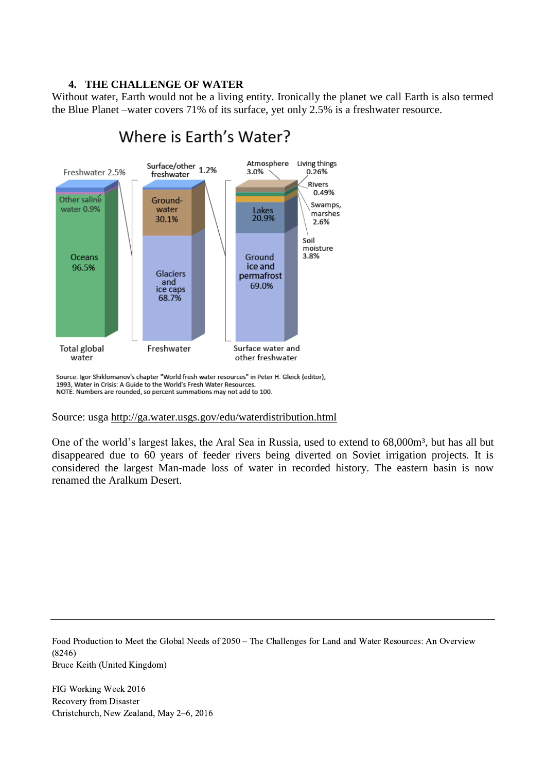## **4. THE CHALLENGE OF WATER**

Without water, Earth would not be a living entity. Ironically the planet we call Earth is also termed the Blue Planet –water covers 71% of its surface, yet only 2.5% is a freshwater resource.



# Where is Farth's Water?

Source: Igor Shiklomanov's chapter "World fresh water resources" in Peter H. Gleick (editor), 1993, Water in Crisis: A Guide to the World's Fresh Water Resources. NOTE: Numbers are rounded, so percent summations may not add to 100.

#### Source: usga<http://ga.water.usgs.gov/edu/waterdistribution.html>

One of the world's largest lakes, the Aral Sea in Russia, used to extend to 68,000m<sup>3</sup>, but has all but disappeared due to 60 years of feeder rivers being diverted on Soviet irrigation projects. It is considered the largest Man-made loss of water in recorded history. The eastern basin is now renamed the Aralkum Desert.

Food Production to Meet the Global Needs of 2050 – The Challenges for Land and Water Resources: An Overview (8246) Bruce Keith (United Kingdom)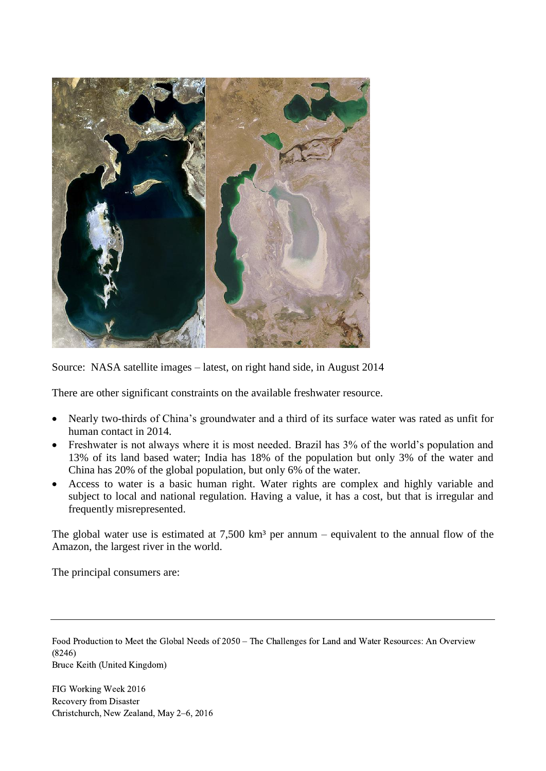

Source: NASA satellite images – latest, on right hand side, in August 2014

There are other significant constraints on the available freshwater resource.

- Nearly two-thirds of China's groundwater and a third of its surface water was rated as unfit for human contact in 2014.
- Freshwater is not always where it is most needed. Brazil has 3% of the world's population and 13% of its land based water; India has 18% of the population but only 3% of the water and China has 20% of the global population, but only 6% of the water.
- Access to water is a basic human right. Water rights are complex and highly variable and subject to local and national regulation. Having a value, it has a cost, but that is irregular and frequently misrepresented.

The global water use is estimated at  $7,500 \text{ km}^3$  per annum – equivalent to the annual flow of the Amazon, the largest river in the world.

The principal consumers are:

Food Production to Meet the Global Needs of 2050 – The Challenges for Land and Water Resources: An Overview (8246) Bruce Keith (United Kingdom)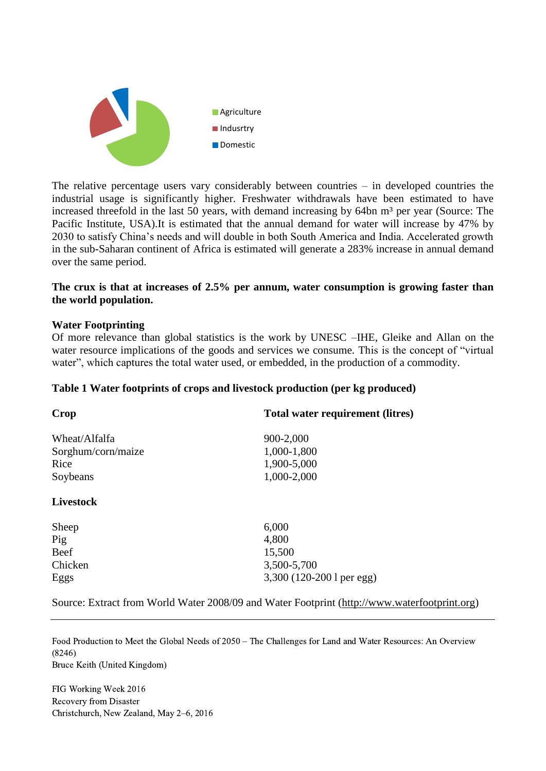

The relative percentage users vary considerably between countries – in developed countries the industrial usage is significantly higher. Freshwater withdrawals have been estimated to have increased threefold in the last 50 years, with demand increasing by 64bn m<sup>3</sup> per year (Source: The Pacific Institute, USA).It is estimated that the annual demand for water will increase by 47% by 2030 to satisfy China's needs and will double in both South America and India. Accelerated growth in the sub-Saharan continent of Africa is estimated will generate a 283% increase in annual demand over the same period.

## **The crux is that at increases of 2.5% per annum, water consumption is growing faster than the world population.**

#### **Water Footprinting**

Of more relevance than global statistics is the work by UNESC –IHE, Gleike and Allan on the water resource implications of the goods and services we consume. This is the concept of "virtual water", which captures the total water used, or embedded, in the production of a commodity.

#### **Table 1 Water footprints of crops and livestock production (per kg produced)**

| Crop               | Total water requirement (litres) |
|--------------------|----------------------------------|
| Wheat/Alfalfa      | 900-2,000                        |
| Sorghum/corn/maize | 1,000-1,800                      |
| Rice               | 1,900-5,000                      |
| Soybeans           | 1,000-2,000                      |
| <b>Livestock</b>   |                                  |
| Sheep              | 6,000                            |
| Pig                | 4,800                            |
| Beef               | 15,500                           |
| Chicken            | 3,500-5,700                      |
| Eggs               | 3,300 (120-200 l per egg)        |

Source: Extract from World Water 2008/09 and Water Footprint [\(http://www.waterfootprint.org\)](http://www.waterfootprint.org/)

Food Production to Meet the Global Needs of 2050 – The Challenges for Land and Water Resources: An Overview (8246) Bruce Keith (United Kingdom)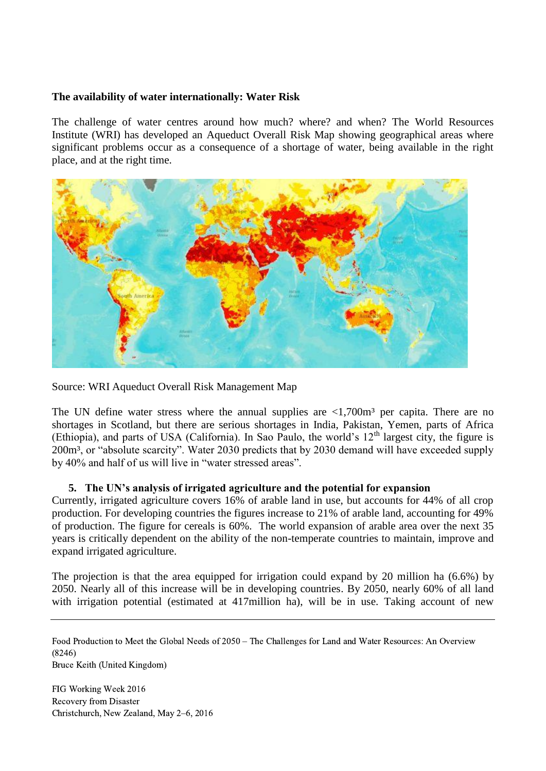### **The availability of water internationally: Water Risk**

The challenge of water centres around how much? where? and when? The World Resources Institute (WRI) has developed an Aqueduct Overall Risk Map showing geographical areas where significant problems occur as a consequence of a shortage of water, being available in the right place, and at the right time.



Source: WRI Aqueduct Overall Risk Management Map

The UN define water stress where the annual supplies are  $\langle 1,700m^3 \rangle$  per capita. There are no shortages in Scotland, but there are serious shortages in India, Pakistan, Yemen, parts of Africa (Ethiopia), and parts of USA (California). In Sao Paulo, the world's  $12<sup>th</sup>$  largest city, the figure is 200m³, or "absolute scarcity". Water 2030 predicts that by 2030 demand will have exceeded supply by 40% and half of us will live in "water stressed areas".

# **5. The UN's analysis of irrigated agriculture and the potential for expansion**

Currently, irrigated agriculture covers 16% of arable land in use, but accounts for 44% of all crop production. For developing countries the figures increase to 21% of arable land, accounting for 49% of production. The figure for cereals is 60%. The world expansion of arable area over the next 35 years is critically dependent on the ability of the non-temperate countries to maintain, improve and expand irrigated agriculture.

The projection is that the area equipped for irrigation could expand by 20 million ha (6.6%) by 2050. Nearly all of this increase will be in developing countries. By 2050, nearly 60% of all land with irrigation potential (estimated at 417million ha), will be in use. Taking account of new

Food Production to Meet the Global Needs of 2050 – The Challenges for Land and Water Resources: An Overview (8246) Bruce Keith (United Kingdom)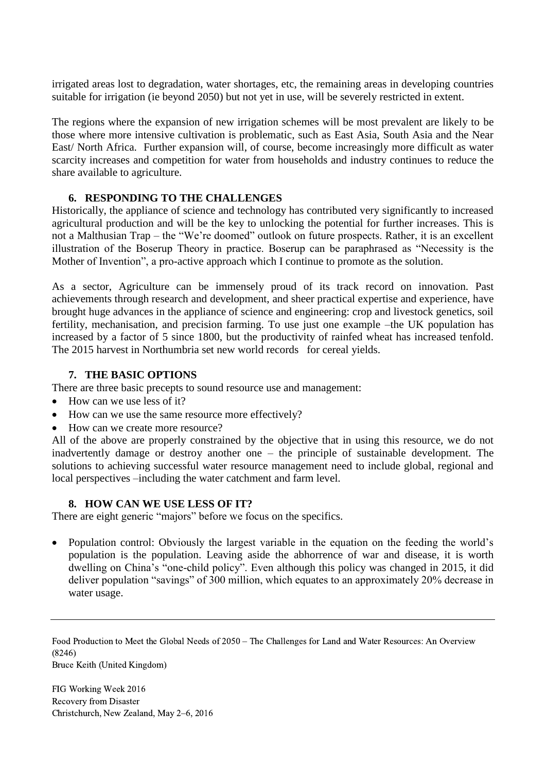irrigated areas lost to degradation, water shortages, etc, the remaining areas in developing countries suitable for irrigation (ie beyond 2050) but not yet in use, will be severely restricted in extent.

The regions where the expansion of new irrigation schemes will be most prevalent are likely to be those where more intensive cultivation is problematic, such as East Asia, South Asia and the Near East/ North Africa. Further expansion will, of course, become increasingly more difficult as water scarcity increases and competition for water from households and industry continues to reduce the share available to agriculture.

# **6. RESPONDING TO THE CHALLENGES**

Historically, the appliance of science and technology has contributed very significantly to increased agricultural production and will be the key to unlocking the potential for further increases. This is not a Malthusian Trap – the "We're doomed" outlook on future prospects. Rather, it is an excellent illustration of the Boserup Theory in practice. Boserup can be paraphrased as "Necessity is the Mother of Invention", a pro-active approach which I continue to promote as the solution.

As a sector, Agriculture can be immensely proud of its track record on innovation. Past achievements through research and development, and sheer practical expertise and experience, have brought huge advances in the appliance of science and engineering: crop and livestock genetics, soil fertility, mechanisation, and precision farming. To use just one example –the UK population has increased by a factor of 5 since 1800, but the productivity of rainfed wheat has increased tenfold. The 2015 harvest in Northumbria set new world records for cereal yields.

## **7. THE BASIC OPTIONS**

There are three basic precepts to sound resource use and management:

- How can we use less of it?
- How can we use the same resource more effectively?
- How can we create more resource?

All of the above are properly constrained by the objective that in using this resource, we do not inadvertently damage or destroy another one – the principle of sustainable development. The solutions to achieving successful water resource management need to include global, regional and local perspectives –including the water catchment and farm level.

#### **8. HOW CAN WE USE LESS OF IT?**

There are eight generic "majors" before we focus on the specifics.

• Population control: Obviously the largest variable in the equation on the feeding the world's population is the population. Leaving aside the abhorrence of war and disease, it is worth dwelling on China's "one-child policy". Even although this policy was changed in 2015, it did deliver population "savings" of 300 million, which equates to an approximately 20% decrease in water usage.

Food Production to Meet the Global Needs of 2050 – The Challenges for Land and Water Resources: An Overview (8246) Bruce Keith (United Kingdom)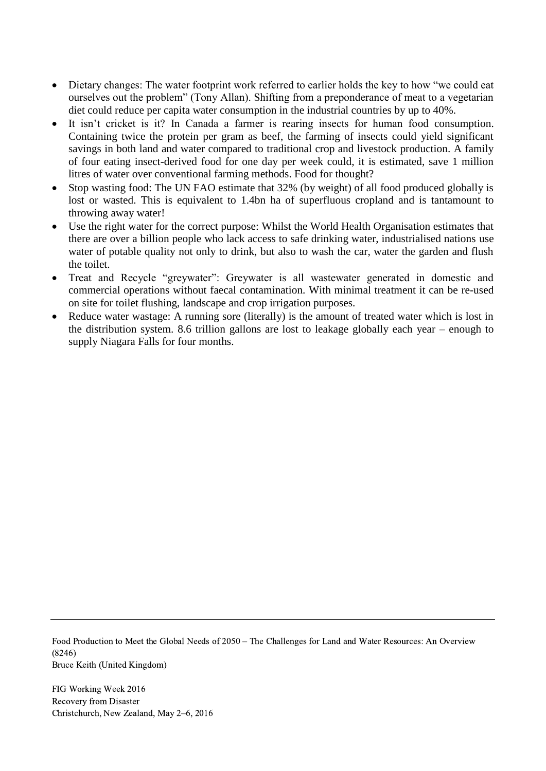- Dietary changes: The water footprint work referred to earlier holds the key to how "we could eat ourselves out the problem" (Tony Allan). Shifting from a preponderance of meat to a vegetarian diet could reduce per capita water consumption in the industrial countries by up to 40%.
- It isn't cricket is it? In Canada a farmer is rearing insects for human food consumption. Containing twice the protein per gram as beef, the farming of insects could yield significant savings in both land and water compared to traditional crop and livestock production. A family of four eating insect-derived food for one day per week could, it is estimated, save 1 million litres of water over conventional farming methods. Food for thought?
- Stop wasting food: The UN FAO estimate that 32% (by weight) of all food produced globally is lost or wasted. This is equivalent to 1.4bn ha of superfluous cropland and is tantamount to throwing away water!
- Use the right water for the correct purpose: Whilst the World Health Organisation estimates that there are over a billion people who lack access to safe drinking water, industrialised nations use water of potable quality not only to drink, but also to wash the car, water the garden and flush the toilet.
- Treat and Recycle "greywater": Greywater is all wastewater generated in domestic and commercial operations without faecal contamination. With minimal treatment it can be re-used on site for toilet flushing, landscape and crop irrigation purposes.
- Reduce water wastage: A running sore (literally) is the amount of treated water which is lost in the distribution system. 8.6 trillion gallons are lost to leakage globally each year – enough to supply Niagara Falls for four months.

Food Production to Meet the Global Needs of 2050 – The Challenges for Land and Water Resources: An Overview (8246) Bruce Keith (United Kingdom)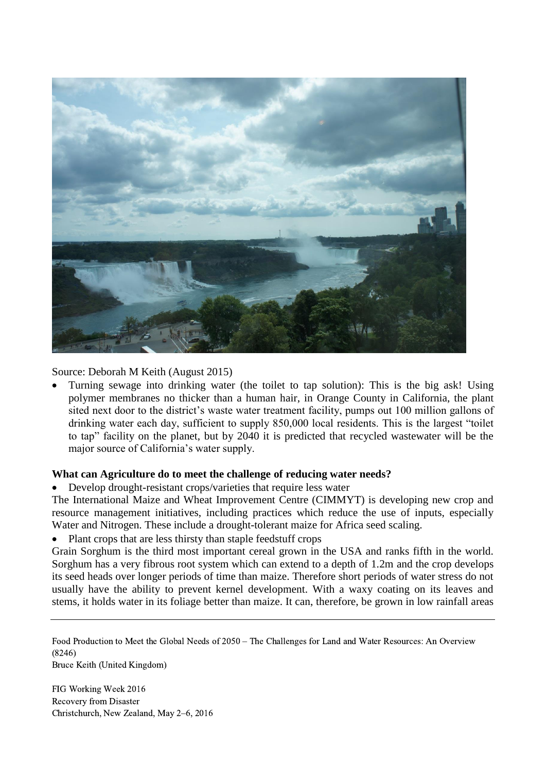

Source: Deborah M Keith (August 2015)

 Turning sewage into drinking water (the toilet to tap solution): This is the big ask! Using polymer membranes no thicker than a human hair, in Orange County in California, the plant sited next door to the district's waste water treatment facility, pumps out 100 million gallons of drinking water each day, sufficient to supply 850,000 local residents. This is the largest "toilet to tap" facility on the planet, but by 2040 it is predicted that recycled wastewater will be the major source of California's water supply.

# **What can Agriculture do to meet the challenge of reducing water needs?**

Develop drought-resistant crops/varieties that require less water

The International Maize and Wheat Improvement Centre (CIMMYT) is developing new crop and resource management initiatives, including practices which reduce the use of inputs, especially Water and Nitrogen. These include a drought-tolerant maize for Africa seed scaling.

Plant crops that are less thirsty than staple feedstuff crops

Grain Sorghum is the third most important cereal grown in the USA and ranks fifth in the world. Sorghum has a very fibrous root system which can extend to a depth of 1.2m and the crop develops its seed heads over longer periods of time than maize. Therefore short periods of water stress do not usually have the ability to prevent kernel development. With a waxy coating on its leaves and stems, it holds water in its foliage better than maize. It can, therefore, be grown in low rainfall areas

Food Production to Meet the Global Needs of 2050 – The Challenges for Land and Water Resources: An Overview (8246) Bruce Keith (United Kingdom)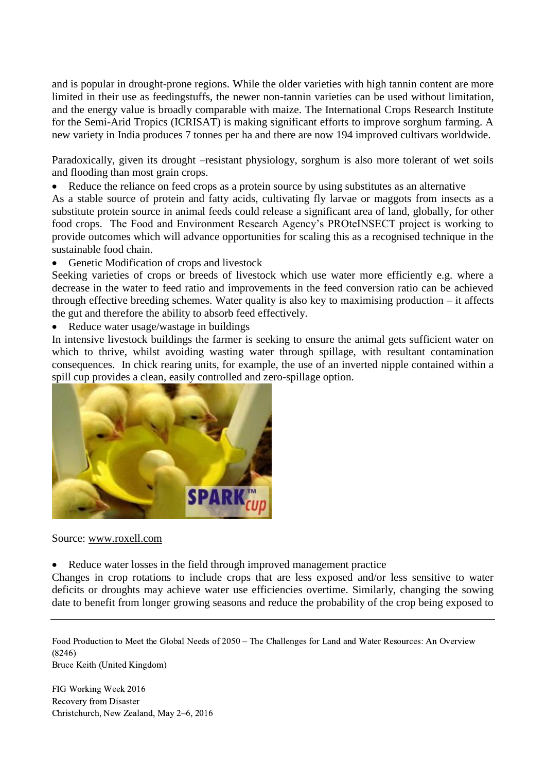and is popular in drought-prone regions. While the older varieties with high tannin content are more limited in their use as feedingstuffs, the newer non-tannin varieties can be used without limitation, and the energy value is broadly comparable with maize. The International Crops Research Institute for the Semi-Arid Tropics (ICRISAT) is making significant efforts to improve sorghum farming. A new variety in India produces 7 tonnes per ha and there are now 194 improved cultivars worldwide.

Paradoxically, given its drought –resistant physiology, sorghum is also more tolerant of wet soils and flooding than most grain crops.

Reduce the reliance on feed crops as a protein source by using substitutes as an alternative

As a stable source of protein and fatty acids, cultivating fly larvae or maggots from insects as a substitute protein source in animal feeds could release a significant area of land, globally, for other food crops. The Food and Environment Research Agency's PROteINSECT project is working to provide outcomes which will advance opportunities for scaling this as a recognised technique in the sustainable food chain.

Genetic Modification of crops and livestock

Seeking varieties of crops or breeds of livestock which use water more efficiently e.g. where a decrease in the water to feed ratio and improvements in the feed conversion ratio can be achieved through effective breeding schemes. Water quality is also key to maximising production – it affects the gut and therefore the ability to absorb feed effectively.

• Reduce water usage/wastage in buildings

In intensive livestock buildings the farmer is seeking to ensure the animal gets sufficient water on which to thrive, whilst avoiding wasting water through spillage, with resultant contamination consequences. In chick rearing units, for example, the use of an inverted nipple contained within a spill cup provides a clean, easily controlled and zero-spillage option.



#### Source: [www.roxell.com](http://www.roxell.com/)

Reduce water losses in the field through improved management practice

Changes in crop rotations to include crops that are less exposed and/or less sensitive to water deficits or droughts may achieve water use efficiencies overtime. Similarly, changing the sowing date to benefit from longer growing seasons and reduce the probability of the crop being exposed to

Food Production to Meet the Global Needs of 2050 – The Challenges for Land and Water Resources: An Overview (8246) Bruce Keith (United Kingdom)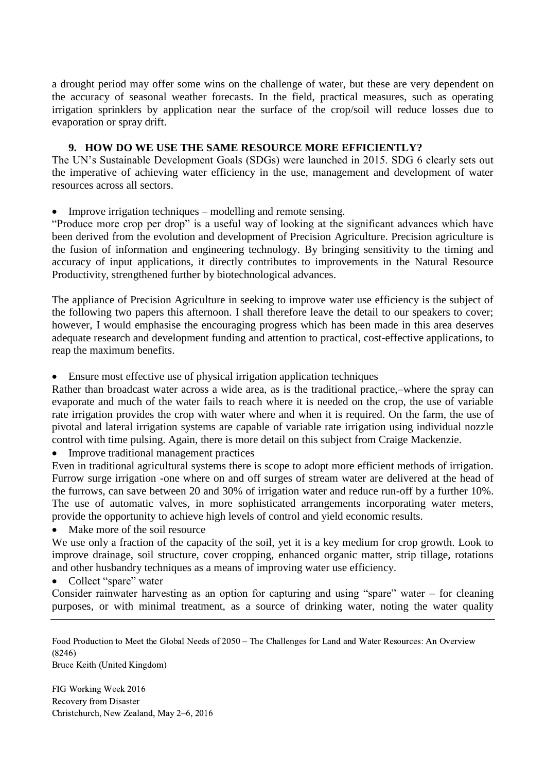a drought period may offer some wins on the challenge of water, but these are very dependent on the accuracy of seasonal weather forecasts. In the field, practical measures, such as operating irrigation sprinklers by application near the surface of the crop/soil will reduce losses due to evaporation or spray drift.

# **9. HOW DO WE USE THE SAME RESOURCE MORE EFFICIENTLY?**

The UN's Sustainable Development Goals (SDGs) were launched in 2015. SDG 6 clearly sets out the imperative of achieving water efficiency in the use, management and development of water resources across all sectors.

Improve irrigation techniques – modelling and remote sensing.

"Produce more crop per drop" is a useful way of looking at the significant advances which have been derived from the evolution and development of Precision Agriculture. Precision agriculture is the fusion of information and engineering technology. By bringing sensitivity to the timing and accuracy of input applications, it directly contributes to improvements in the Natural Resource Productivity, strengthened further by biotechnological advances.

The appliance of Precision Agriculture in seeking to improve water use efficiency is the subject of the following two papers this afternoon. I shall therefore leave the detail to our speakers to cover; however, I would emphasise the encouraging progress which has been made in this area deserves adequate research and development funding and attention to practical, cost-effective applications, to reap the maximum benefits.

Ensure most effective use of physical irrigation application techniques

Rather than broadcast water across a wide area, as is the traditional practice,–where the spray can evaporate and much of the water fails to reach where it is needed on the crop, the use of variable rate irrigation provides the crop with water where and when it is required. On the farm, the use of pivotal and lateral irrigation systems are capable of variable rate irrigation using individual nozzle control with time pulsing. Again, there is more detail on this subject from Craige Mackenzie.

• Improve traditional management practices

Even in traditional agricultural systems there is scope to adopt more efficient methods of irrigation. Furrow surge irrigation -one where on and off surges of stream water are delivered at the head of the furrows, can save between 20 and 30% of irrigation water and reduce run-off by a further 10%. The use of automatic valves, in more sophisticated arrangements incorporating water meters, provide the opportunity to achieve high levels of control and yield economic results.

• Make more of the soil resource

We use only a fraction of the capacity of the soil, yet it is a key medium for crop growth. Look to improve drainage, soil structure, cover cropping, enhanced organic matter, strip tillage, rotations and other husbandry techniques as a means of improving water use efficiency.

• Collect "spare" water

Consider rainwater harvesting as an option for capturing and using "spare" water – for cleaning purposes, or with minimal treatment, as a source of drinking water, noting the water quality

Food Production to Meet the Global Needs of 2050 – The Challenges for Land and Water Resources: An Overview (8246)

Bruce Keith (United Kingdom)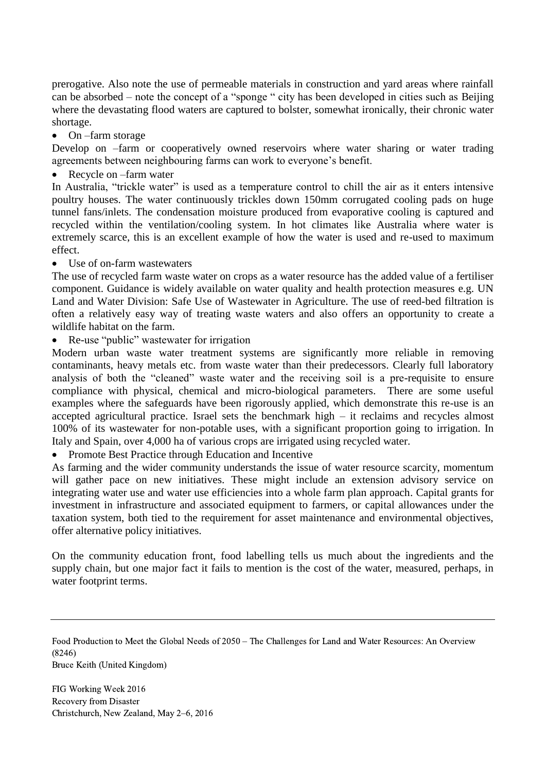prerogative. Also note the use of permeable materials in construction and yard areas where rainfall can be absorbed – note the concept of a "sponge " city has been developed in cities such as Beijing where the devastating flood waters are captured to bolster, somewhat ironically, their chronic water shortage.

• On –farm storage

Develop on –farm or cooperatively owned reservoirs where water sharing or water trading agreements between neighbouring farms can work to everyone's benefit.

• Recycle on –farm water

In Australia, "trickle water" is used as a temperature control to chill the air as it enters intensive poultry houses. The water continuously trickles down 150mm corrugated cooling pads on huge tunnel fans/inlets. The condensation moisture produced from evaporative cooling is captured and recycled within the ventilation/cooling system. In hot climates like Australia where water is extremely scarce, this is an excellent example of how the water is used and re-used to maximum effect.

Use of on-farm wastewaters

The use of recycled farm waste water on crops as a water resource has the added value of a fertiliser component. Guidance is widely available on water quality and health protection measures e.g. UN Land and Water Division: Safe Use of Wastewater in Agriculture. The use of reed-bed filtration is often a relatively easy way of treating waste waters and also offers an opportunity to create a wildlife habitat on the farm.

• Re-use "public" wastewater for irrigation

Modern urban waste water treatment systems are significantly more reliable in removing contaminants, heavy metals etc. from waste water than their predecessors. Clearly full laboratory analysis of both the "cleaned" waste water and the receiving soil is a pre-requisite to ensure compliance with physical, chemical and micro-biological parameters. There are some useful examples where the safeguards have been rigorously applied, which demonstrate this re-use is an accepted agricultural practice. Israel sets the benchmark high – it reclaims and recycles almost 100% of its wastewater for non-potable uses, with a significant proportion going to irrigation. In Italy and Spain, over 4,000 ha of various crops are irrigated using recycled water.

• Promote Best Practice through Education and Incentive

As farming and the wider community understands the issue of water resource scarcity, momentum will gather pace on new initiatives. These might include an extension advisory service on integrating water use and water use efficiencies into a whole farm plan approach. Capital grants for investment in infrastructure and associated equipment to farmers, or capital allowances under the taxation system, both tied to the requirement for asset maintenance and environmental objectives, offer alternative policy initiatives.

On the community education front, food labelling tells us much about the ingredients and the supply chain, but one major fact it fails to mention is the cost of the water, measured, perhaps, in water footprint terms.

Food Production to Meet the Global Needs of 2050 – The Challenges for Land and Water Resources: An Overview (8246) Bruce Keith (United Kingdom)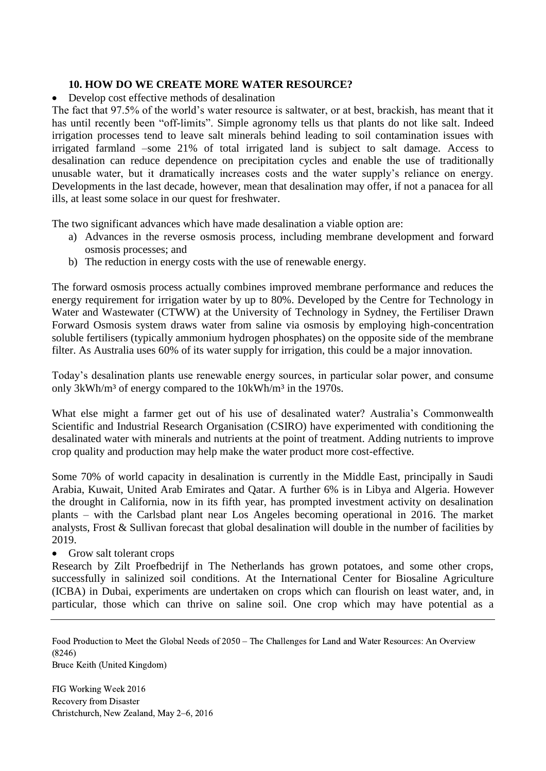## **10. HOW DO WE CREATE MORE WATER RESOURCE?**

Develop cost effective methods of desalination

The fact that 97.5% of the world's water resource is saltwater, or at best, brackish, has meant that it has until recently been "off-limits". Simple agronomy tells us that plants do not like salt. Indeed irrigation processes tend to leave salt minerals behind leading to soil contamination issues with irrigated farmland –some 21% of total irrigated land is subject to salt damage. Access to desalination can reduce dependence on precipitation cycles and enable the use of traditionally unusable water, but it dramatically increases costs and the water supply's reliance on energy. Developments in the last decade, however, mean that desalination may offer, if not a panacea for all ills, at least some solace in our quest for freshwater.

The two significant advances which have made desalination a viable option are:

- a) Advances in the reverse osmosis process, including membrane development and forward osmosis processes; and
- b) The reduction in energy costs with the use of renewable energy.

The forward osmosis process actually combines improved membrane performance and reduces the energy requirement for irrigation water by up to 80%. Developed by the Centre for Technology in Water and Wastewater (CTWW) at the University of Technology in Sydney, the Fertiliser Drawn Forward Osmosis system draws water from saline via osmosis by employing high-concentration soluble fertilisers (typically ammonium hydrogen phosphates) on the opposite side of the membrane filter. As Australia uses 60% of its water supply for irrigation, this could be a major innovation.

Today's desalination plants use renewable energy sources, in particular solar power, and consume only 3kWh/m<sup>3</sup> of energy compared to the 10kWh/m<sup>3</sup> in the 1970s.

What else might a farmer get out of his use of desalinated water? Australia's Commonwealth Scientific and Industrial Research Organisation (CSIRO) have experimented with conditioning the desalinated water with minerals and nutrients at the point of treatment. Adding nutrients to improve crop quality and production may help make the water product more cost-effective.

Some 70% of world capacity in desalination is currently in the Middle East, principally in Saudi Arabia, Kuwait, United Arab Emirates and Qatar. A further 6% is in Libya and Algeria. However the drought in California, now in its fifth year, has prompted investment activity on desalination plants – with the Carlsbad plant near Los Angeles becoming operational in 2016. The market analysts, Frost & Sullivan forecast that global desalination will double in the number of facilities by 2019.

• Grow salt tolerant crops

Research by Zilt Proefbedrijf in The Netherlands has grown potatoes, and some other crops, successfully in salinized soil conditions. At the International Center for Biosaline Agriculture (ICBA) in Dubai, experiments are undertaken on crops which can flourish on least water, and, in particular, those which can thrive on saline soil. One crop which may have potential as a

Food Production to Meet the Global Needs of 2050 – The Challenges for Land and Water Resources: An Overview (8246)

Bruce Keith (United Kingdom)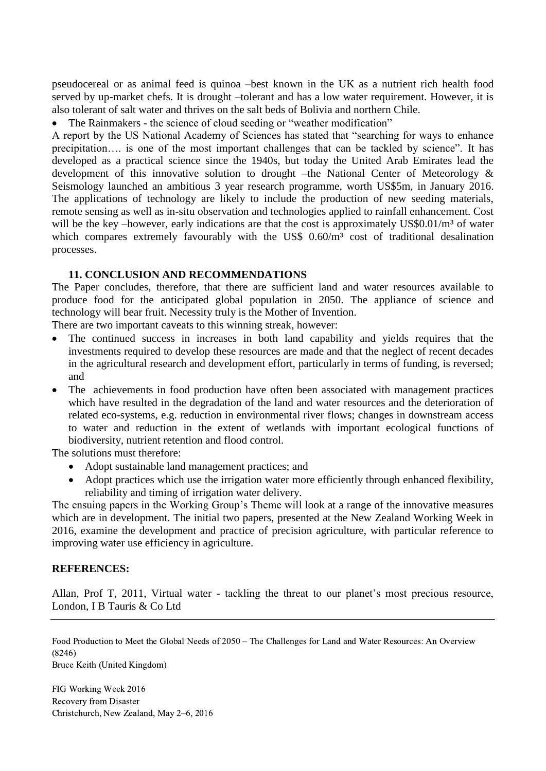pseudocereal or as animal feed is quinoa –best known in the UK as a nutrient rich health food served by up-market chefs. It is drought –tolerant and has a low water requirement. However, it is also tolerant of salt water and thrives on the salt beds of Bolivia and northern Chile.

The Rainmakers - the science of cloud seeding or "weather modification"

A report by the US National Academy of Sciences has stated that "searching for ways to enhance precipitation…. is one of the most important challenges that can be tackled by science". It has developed as a practical science since the 1940s, but today the United Arab Emirates lead the development of this innovative solution to drought –the National Center of Meteorology & Seismology launched an ambitious 3 year research programme, worth US\$5m, in January 2016. The applications of technology are likely to include the production of new seeding materials, remote sensing as well as in-situ observation and technologies applied to rainfall enhancement. Cost will be the key –however, early indications are that the cost is approximately  $US$0.01/m<sup>3</sup>$  of water which compares extremely favourably with the US\$ 0.60/m<sup>3</sup> cost of traditional desalination processes.

## **11. CONCLUSION AND RECOMMENDATIONS**

The Paper concludes, therefore, that there are sufficient land and water resources available to produce food for the anticipated global population in 2050. The appliance of science and technology will bear fruit. Necessity truly is the Mother of Invention.

There are two important caveats to this winning streak, however:

- The continued success in increases in both land capability and yields requires that the investments required to develop these resources are made and that the neglect of recent decades in the agricultural research and development effort, particularly in terms of funding, is reversed; and
- The achievements in food production have often been associated with management practices which have resulted in the degradation of the land and water resources and the deterioration of related eco-systems, e.g. reduction in environmental river flows; changes in downstream access to water and reduction in the extent of wetlands with important ecological functions of biodiversity, nutrient retention and flood control.

The solutions must therefore:

- Adopt sustainable land management practices; and
- Adopt practices which use the irrigation water more efficiently through enhanced flexibility, reliability and timing of irrigation water delivery.

The ensuing papers in the Working Group's Theme will look at a range of the innovative measures which are in development. The initial two papers, presented at the New Zealand Working Week in 2016, examine the development and practice of precision agriculture, with particular reference to improving water use efficiency in agriculture.

#### **REFERENCES:**

Allan, Prof T, 2011, Virtual water - tackling the threat to our planet's most precious resource, London, I B Tauris & Co Ltd

Food Production to Meet the Global Needs of 2050 – The Challenges for Land and Water Resources: An Overview (8246) Bruce Keith (United Kingdom)